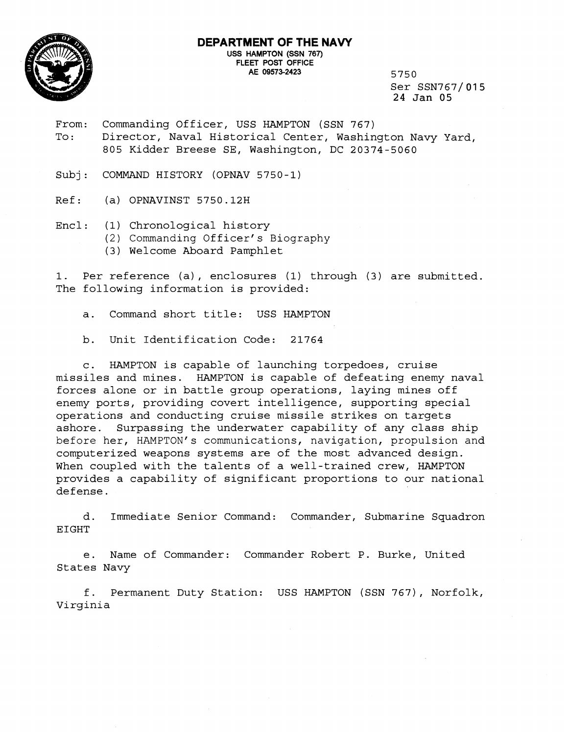



Ser SSN767/ 01 **5**  24 **Jan 05** 

From: Commanding Officer, USS HAMPTON (SSN 767) To: Director, Naval Historical Center, Washington Navy Yard, 805 Kidder Breese SE, Washington, DC 20374-5060

Subj: COMMAND HISTORY (OPNAV 5750-1)

Ref: (a) OPNAVINST 5750.12H

Encl : (1) Chronological history

(2) Commanding Officer's Biography

(3) Welcome Aboard Pamphlet

1. Per reference (a) , enclosures (1) through (3) are submitted. The following information is provided:

a. Command short title: USS HAMPTON

b. Unit Identification Code: 21764

c. HAMPTON is capable of launching torpedoes, cruise missiles and mines. HAMPTON is capable of defeating enemy naval forces alone or in battle group operations, laying mines off enemy ports, providing covert intelligence, supporting special operations and conducting cruise missile strikes on targets ashore. Surpassing the underwater capability of any class ship before her, HAMPTON's communications, navigation, propulsion and computerized weapons systems are of the most advanced design. When coupled with the talents of a well-trained crew, HAMPTON provides a capability of significant proportions to our national defense .

d. Immediate Senior Command: Commander, Submarine Squadron EIGHT

e. Name of Commander: Commander Robert P. Burke, United States Navy

f. Permanent Duty Station: USS HAMPTON (SSN 767), Norfolk, Virginia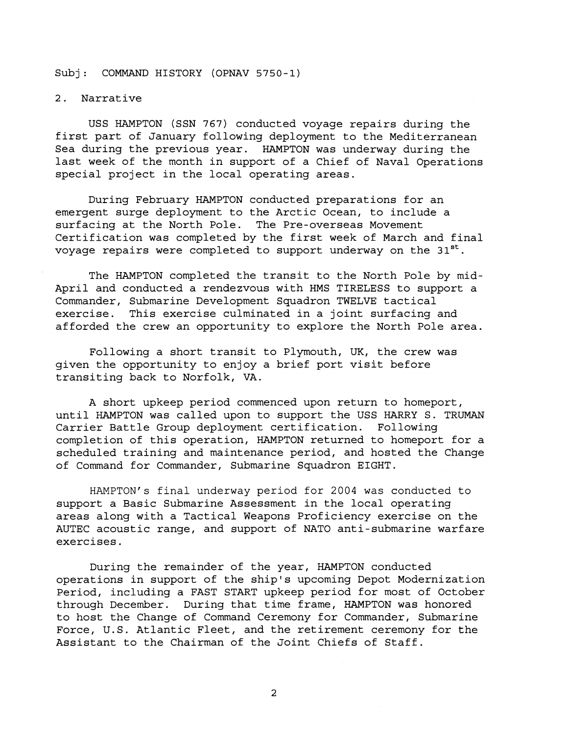## Subj: COMMAND HISTORY (OPNAV 5750-1)

## 2. Narrative

USS HAMPTON (SSN **767)** conducted voyage repairs during the first part of January following deployment to the Mediterranean Sea during the previous year. HAMPTON was underway during the last week of the month in support of a Chief of Naval Operations special project in the local operating areas.

During February HAMPTON conducted preparations for an emergent surge deployment to the Arctic Ocean, to include a surfacing at the North Pole. The Pre-overseas Movement Certification was completed by the first week of March and final voyage repairs were completed to support underway on the 31st.

The HAMPTON completed the transit to the North Pole by mid-April and conducted a rendezvous with HMS TIRELESS to support a Commander, Submarine Development Squadron TWELVE tactical exercise. This exercise culminated in a joint surfacing and afforded the crew an opportunity to explore the North Pole area.

Following a short transit to Plymouth, UK, the crew was given the opportunity to enjoy a brief port visit before transiting back to Norfolk, VA.

A short upkeep period commenced upon return to homeport, until HAMPTON was called upon to support the USS HARRY S. TRUMAN Carrier Battle Group deployment certification. Following completion of this operation, HAMPTON returned to homeport for a scheduled training and maintenance period, and hosted the Change of Command for Commander, Submarine Squadron EIGHT.

HAMPTON's final underway period for 2004 was conducted to support a Basic Submarine Assessment in the local operating areas along with a Tactical Weapons Proficiency exercise on the AUTEC acoustic range, and support of NATO anti-submarine warfare exercises.

During the remainder of the year, HAMPTON conducted operations in support of the ship's upcoming Depot Modernization Period, including a FAST START upkeep period for most of October through December. During that time frame, HAMPTON was honored to host the Change of Command Ceremony for Commander, Submarine Force, U.S. Atlantic Fleet, and the retirement ceremony for the Assistant to the Chairman of the Joint Chiefs of Staff.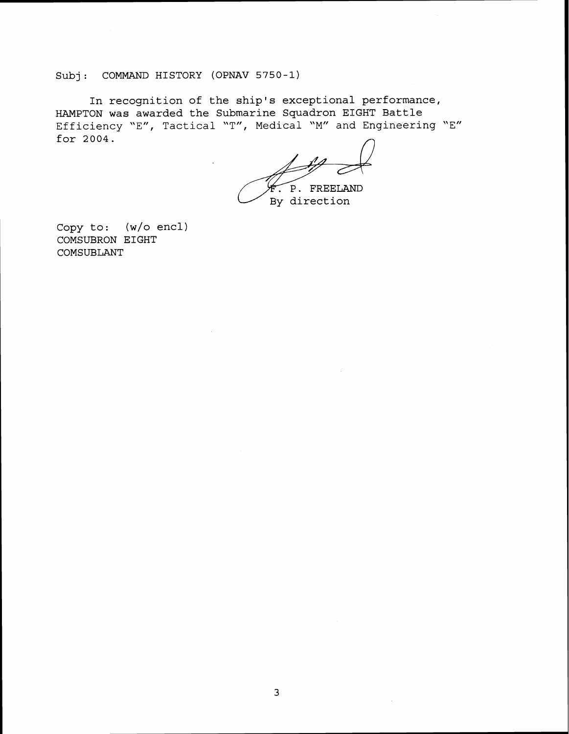## Subj: COMMAND HISTORY (OPNAV 5750-1)

In recognition of the ship's exceptional performance, HAMPTON was awarded the Submarine Squadron EIGHT Battle Efficiency "E", Tactical "T", Medical "M" and Engineering "E" for 2004.

P. FREELAND By direction

Copy to: (w/o encl) COMSUBRON EIGHT COMSUBLANT